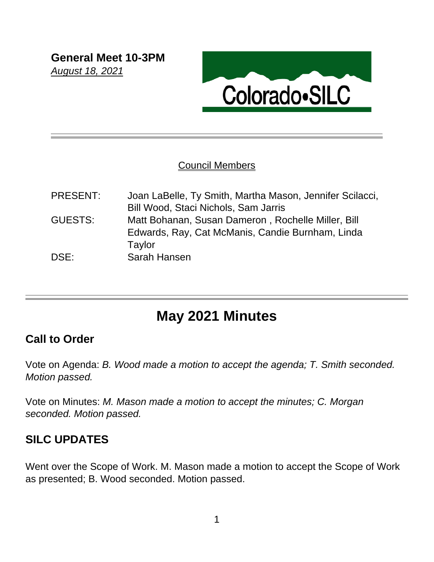

#### Council Members

| PRESENT: | Joan LaBelle, Ty Smith, Martha Mason, Jennifer Scilacci, |
|----------|----------------------------------------------------------|
|          | Bill Wood, Staci Nichols, Sam Jarris                     |
| GUESTS:  | Matt Bohanan, Susan Dameron, Rochelle Miller, Bill       |
|          | Edwards, Ray, Cat McManis, Candie Burnham, Linda         |
|          | Taylor                                                   |
| DSE:     | Sarah Hansen                                             |
|          |                                                          |

# **May 2021 Minutes**

## **Call to Order**

Vote on Agenda: *B. Wood made a motion to accept the agenda; T. Smith seconded. Motion passed.*

Vote on Minutes: *M. Mason made a motion to accept the minutes; C. Morgan seconded. Motion passed.*

# **SILC UPDATES**

Went over the Scope of Work. M. Mason made a motion to accept the Scope of Work as presented; B. Wood seconded. Motion passed.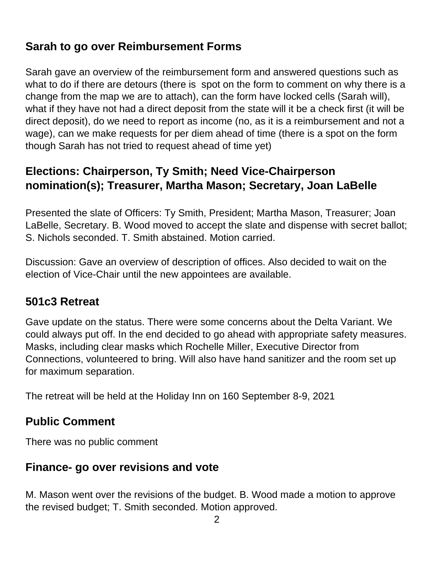# **Sarah to go over Reimbursement Forms**

Sarah gave an overview of the reimbursement form and answered questions such as what to do if there are detours (there is spot on the form to comment on why there is a change from the map we are to attach), can the form have locked cells (Sarah will), what if they have not had a direct deposit from the state will it be a check first (it will be direct deposit), do we need to report as income (no, as it is a reimbursement and not a wage), can we make requests for per diem ahead of time (there is a spot on the form though Sarah has not tried to request ahead of time yet)

# **Elections: Chairperson, Ty Smith; Need Vice-Chairperson nomination(s); Treasurer, Martha Mason; Secretary, Joan LaBelle**

Presented the slate of Officers: Ty Smith, President; Martha Mason, Treasurer; Joan LaBelle, Secretary. B. Wood moved to accept the slate and dispense with secret ballot; S. Nichols seconded. T. Smith abstained. Motion carried.

Discussion: Gave an overview of description of offices. Also decided to wait on the election of Vice-Chair until the new appointees are available.

## **501c3 Retreat**

Gave update on the status. There were some concerns about the Delta Variant. We could always put off. In the end decided to go ahead with appropriate safety measures. Masks, including clear masks which Rochelle Miller, Executive Director from Connections, volunteered to bring. Will also have hand sanitizer and the room set up for maximum separation.

The retreat will be held at the Holiday Inn on 160 September 8-9, 2021

### **Public Comment**

There was no public comment

### **Finance- go over revisions and vote**

M. Mason went over the revisions of the budget. B. Wood made a motion to approve the revised budget; T. Smith seconded. Motion approved.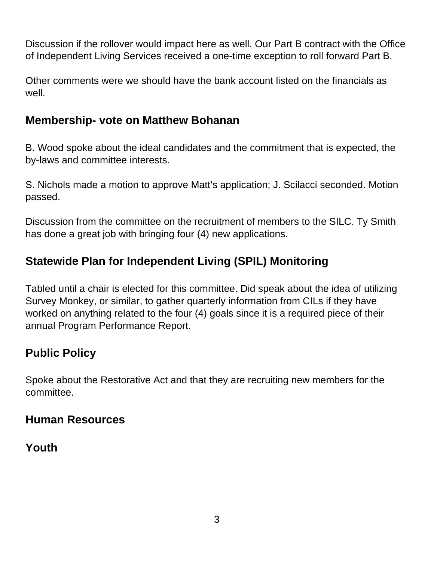Discussion if the rollover would impact here as well. Our Part B contract with the Office of Independent Living Services received a one-time exception to roll forward Part B.

Other comments were we should have the bank account listed on the financials as well.

### **Membership- vote on Matthew Bohanan**

B. Wood spoke about the ideal candidates and the commitment that is expected, the by-laws and committee interests.

S. Nichols made a motion to approve Matt's application; J. Scilacci seconded. Motion passed.

Discussion from the committee on the recruitment of members to the SILC. Ty Smith has done a great job with bringing four (4) new applications.

# **Statewide Plan for Independent Living (SPIL) Monitoring**

Tabled until a chair is elected for this committee. Did speak about the idea of utilizing Survey Monkey, or similar, to gather quarterly information from CILs if they have worked on anything related to the four (4) goals since it is a required piece of their annual Program Performance Report.

## **Public Policy**

Spoke about the Restorative Act and that they are recruiting new members for the committee.

### **Human Resources**

## **Youth**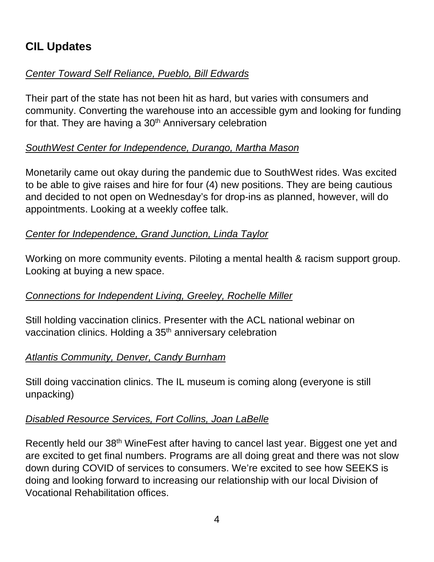# **CIL Updates**

#### *Center Toward Self Reliance, Pueblo, Bill Edwards*

Their part of the state has not been hit as hard, but varies with consumers and community. Converting the warehouse into an accessible gym and looking for funding for that. They are having a  $30<sup>th</sup>$  Anniversary celebration

#### *SouthWest Center for Independence, Durango, Martha Mason*

Monetarily came out okay during the pandemic due to SouthWest rides. Was excited to be able to give raises and hire for four (4) new positions. They are being cautious and decided to not open on Wednesday's for drop-ins as planned, however, will do appointments. Looking at a weekly coffee talk.

#### *Center for Independence, Grand Junction, Linda Taylor*

Working on more community events. Piloting a mental health & racism support group. Looking at buying a new space.

#### *Connections for Independent Living, Greeley, Rochelle Miller*

Still holding vaccination clinics. Presenter with the ACL national webinar on vaccination clinics. Holding a 35<sup>th</sup> anniversary celebration

#### *Atlantis Community, Denver, Candy Burnham*

Still doing vaccination clinics. The IL museum is coming along (everyone is still unpacking)

#### *Disabled Resource Services, Fort Collins, Joan LaBelle*

Recently held our 38<sup>th</sup> WineFest after having to cancel last year. Biggest one yet and are excited to get final numbers. Programs are all doing great and there was not slow down during COVID of services to consumers. We're excited to see how SEEKS is doing and looking forward to increasing our relationship with our local Division of Vocational Rehabilitation offices.